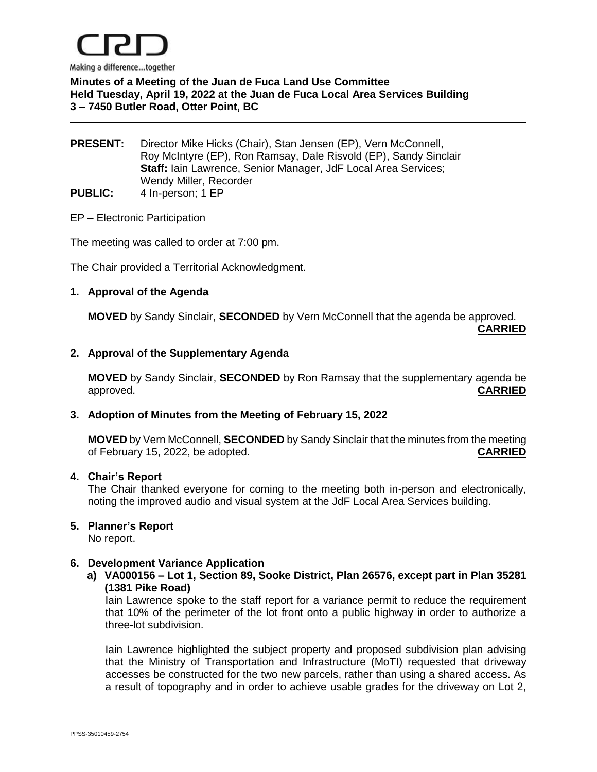

# **Minutes of a Meeting of the Juan de Fuca Land Use Committee Held Tuesday, April 19, 2022 at the Juan de Fuca Local Area Services Building 3 – 7450 Butler Road, Otter Point, BC**

#### **PRESENT:** Director Mike Hicks (Chair), Stan Jensen (EP), Vern McConnell, Roy McIntyre (EP), Ron Ramsay, Dale Risvold (EP), Sandy Sinclair **Staff:** Iain Lawrence, Senior Manager, JdF Local Area Services; Wendy Miller, Recorder PUBLIC: 4 In-person; 1 EP

### EP – Electronic Participation

The meeting was called to order at 7:00 pm.

The Chair provided a Territorial Acknowledgment.

### **1. Approval of the Agenda**

**MOVED** by Sandy Sinclair, **SECONDED** by Vern McConnell that the agenda be approved.

**CARRIED**

## **2. Approval of the Supplementary Agenda**

**MOVED** by Sandy Sinclair, **SECONDED** by Ron Ramsay that the supplementary agenda be approved. **CARRIED**

### **3. Adoption of Minutes from the Meeting of February 15, 2022**

**MOVED** by Vern McConnell, **SECONDED** by Sandy Sinclair that the minutes from the meeting of February 15, 2022, be adopted. **CARRIED**

### **4. Chair's Report**

The Chair thanked everyone for coming to the meeting both in-person and electronically, noting the improved audio and visual system at the JdF Local Area Services building.

### **5. Planner's Report**

No report.

### **6. Development Variance Application**

**a) VA000156 – Lot 1, Section 89, Sooke District, Plan 26576, except part in Plan 35281 (1381 Pike Road)**

Iain Lawrence spoke to the staff report for a variance permit to reduce the requirement that 10% of the perimeter of the lot front onto a public highway in order to authorize a three-lot subdivision.

Iain Lawrence highlighted the subject property and proposed subdivision plan advising that the Ministry of Transportation and Infrastructure (MoTI) requested that driveway accesses be constructed for the two new parcels, rather than using a shared access. As a result of topography and in order to achieve usable grades for the driveway on Lot 2,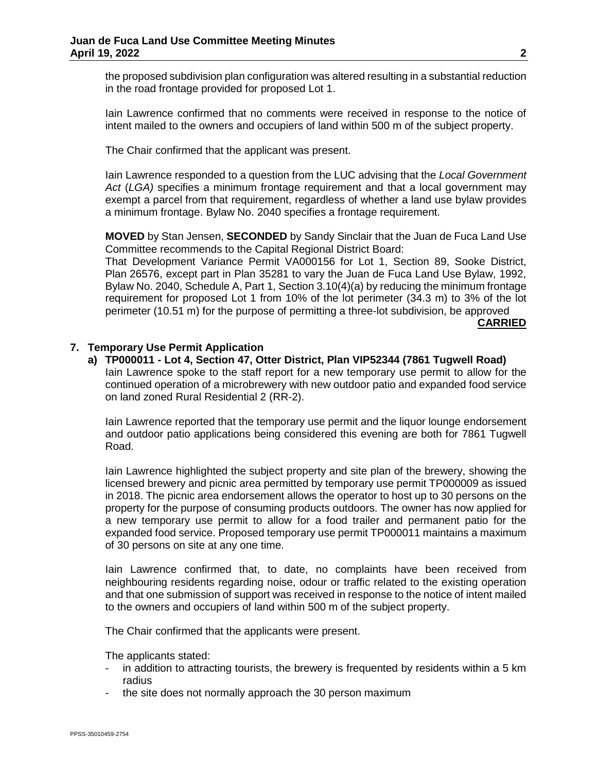the proposed subdivision plan configuration was altered resulting in a substantial reduction in the road frontage provided for proposed Lot 1.

Iain Lawrence confirmed that no comments were received in response to the notice of intent mailed to the owners and occupiers of land within 500 m of the subject property.

The Chair confirmed that the applicant was present.

Iain Lawrence responded to a question from the LUC advising that the *Local Government Act* (*LGA)* specifies a minimum frontage requirement and that a local government may exempt a parcel from that requirement, regardless of whether a land use bylaw provides a minimum frontage. Bylaw No. 2040 specifies a frontage requirement.

**MOVED** by Stan Jensen, **SECONDED** by Sandy Sinclair that the Juan de Fuca Land Use Committee recommends to the Capital Regional District Board:

That Development Variance Permit VA000156 for Lot 1, Section 89, Sooke District, Plan 26576, except part in Plan 35281 to vary the Juan de Fuca Land Use Bylaw, 1992, Bylaw No. 2040, Schedule A, Part 1, Section 3.10(4)(a) by reducing the minimum frontage requirement for proposed Lot 1 from 10% of the lot perimeter (34.3 m) to 3% of the lot perimeter (10.51 m) for the purpose of permitting a three-lot subdivision, be approved

**CARRIED**

### **7. Temporary Use Permit Application**

**a) TP000011 - Lot 4, Section 47, Otter District, Plan VIP52344 (7861 Tugwell Road)** Iain Lawrence spoke to the staff report for a new temporary use permit to allow for the continued operation of a microbrewery with new outdoor patio and expanded food service on land zoned Rural Residential 2 (RR-2).

Iain Lawrence reported that the temporary use permit and the liquor lounge endorsement and outdoor patio applications being considered this evening are both for 7861 Tugwell Road.

Iain Lawrence highlighted the subject property and site plan of the brewery, showing the licensed brewery and picnic area permitted by temporary use permit TP000009 as issued in 2018. The picnic area endorsement allows the operator to host up to 30 persons on the property for the purpose of consuming products outdoors. The owner has now applied for a new temporary use permit to allow for a food trailer and permanent patio for the expanded food service. Proposed temporary use permit TP000011 maintains a maximum of 30 persons on site at any one time.

Iain Lawrence confirmed that, to date, no complaints have been received from neighbouring residents regarding noise, odour or traffic related to the existing operation and that one submission of support was received in response to the notice of intent mailed to the owners and occupiers of land within 500 m of the subject property.

The Chair confirmed that the applicants were present.

The applicants stated:

- in addition to attracting tourists, the brewery is frequented by residents within a 5 km radius
- the site does not normally approach the 30 person maximum